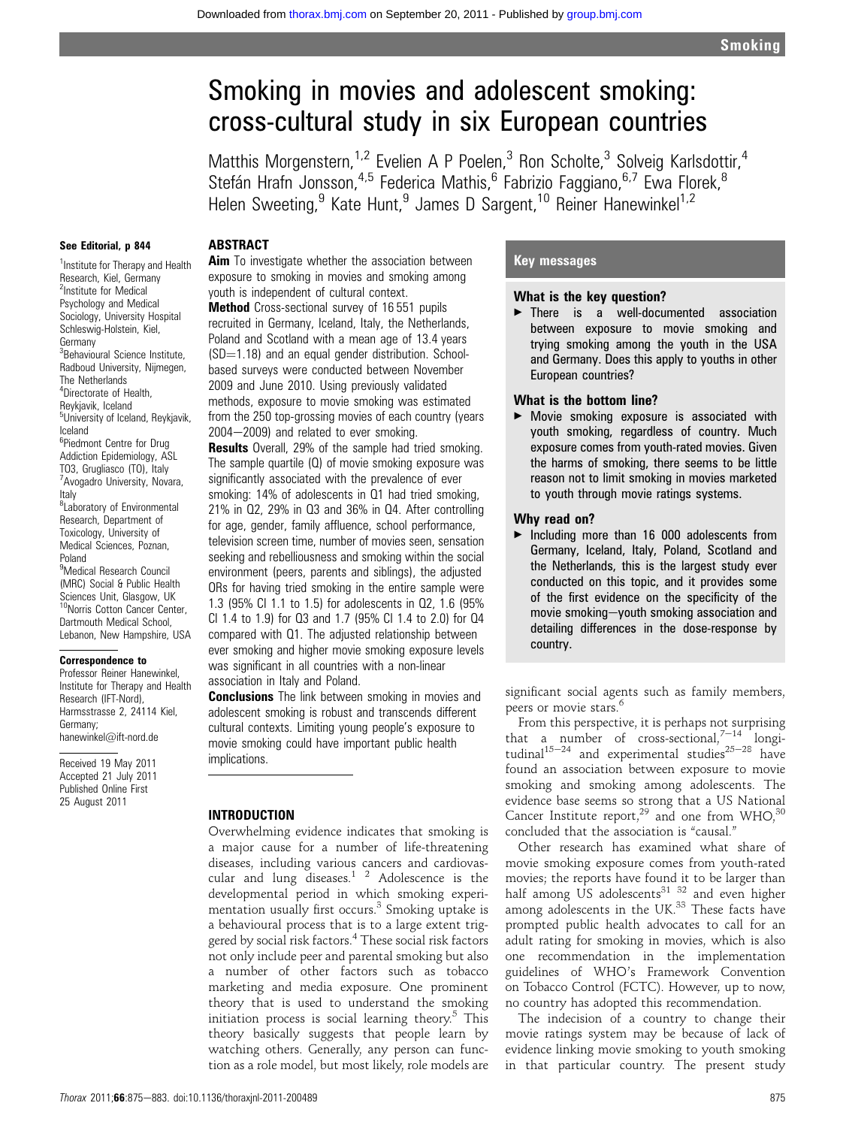# Smoking in movies and adolescent smoking: cross-cultural study in six European countries

Matthis Morgenstern,<sup>1,2</sup> Evelien A P Poelen,<sup>3</sup> Ron Scholte,<sup>3</sup> Solveig Karlsdottir,<sup>4</sup> Stefán Hrafn Jonsson, <sup>4,5</sup> Federica Mathis, <sup>6</sup> Fabrizio Faggiano, <sup>6,7</sup> Ewa Florek, <sup>8</sup> Helen Sweeting,<sup>9</sup> Kate Hunt,<sup>9</sup> James D Sargent,<sup>10</sup> Reiner Hanewinkel<sup>1,2</sup>

#### See Editorial, p 844

<sup>1</sup> Institute for Therapy and Health Research, Kiel, Germany <sup>2</sup>Institute for Medical Psychology and Medical Sociology, University Hospital Schleswig-Holstein, Kiel, **Germany** 3 Behavioural Science Institute, Radboud University, Nijmegen, The Netherlands 4 Directorate of Health, Reykjavik, Iceland <sup>5</sup>University of Iceland, Reykjavik, Iceland <sup>6</sup>Piedmont Centre for Drug Addiction Epidemiology, ASL TO3, Grugliasco (TO), Italy <sup>7</sup> Avogadro University, Novara, Italy <sup>8</sup> Laboratory of Environmental Research, Department of Toxicology, University of Medical Sciences, Poznan, Poland <sup>9</sup>Medical Research Council (MRC) Social & Public Health Sciences Unit, Glasgow, UK<br><sup>10</sup>Norris Cotton Cancer Center, Dartmouth Medical School, Lebanon, New Hampshire, USA

#### Correspondence to

Professor Reiner Hanewinkel, Institute for Therapy and Health Research (IFT-Nord), Harmsstrasse 2, 24114 Kiel, Germany; hanewinkel@ift-nord.de

Received 19 May 2011 Accepted 21 July 2011 Published Online First 25 August 2011

## **ABSTRACT**

Aim To investigate whether the association between exposure to smoking in movies and smoking among youth is independent of cultural context. Method Cross-sectional survey of 16 551 pupils recruited in Germany, Iceland, Italy, the Netherlands, Poland and Scotland with a mean age of 13.4 years  $(SD=1.18)$  and an equal gender distribution. Schoolbased surveys were conducted between November 2009 and June 2010. Using previously validated methods, exposure to movie smoking was estimated from the 250 top-grossing movies of each country (years 2004-2009) and related to ever smoking.

Results Overall, 29% of the sample had tried smoking. The sample quartile (Q) of movie smoking exposure was significantly associated with the prevalence of ever smoking: 14% of adolescents in Q1 had tried smoking, 21% in Q2, 29% in Q3 and 36% in Q4. After controlling for age, gender, family affluence, school performance, television screen time, number of movies seen, sensation seeking and rebelliousness and smoking within the social environment (peers, parents and siblings), the adjusted ORs for having tried smoking in the entire sample were 1.3 (95% CI 1.1 to 1.5) for adolescents in Q2, 1.6 (95% CI 1.4 to 1.9) for Q3 and 1.7 (95% CI 1.4 to 2.0) for Q4 compared with Q1. The adjusted relationship between ever smoking and higher movie smoking exposure levels was significant in all countries with a non-linear association in Italy and Poland.

**Conclusions** The link between smoking in movies and adolescent smoking is robust and transcends different cultural contexts. Limiting young people's exposure to movie smoking could have important public health implications.

#### INTRODUCTION

Overwhelming evidence indicates that smoking is a major cause for a number of life-threatening diseases, including various cancers and cardiovascular and lung diseases. $1^2$  Adolescence is the developmental period in which smoking experimentation usually first occurs.<sup>3</sup> Smoking uptake is a behavioural process that is to a large extent triggered by social risk factors.<sup>4</sup> These social risk factors not only include peer and parental smoking but also a number of other factors such as tobacco marketing and media exposure. One prominent theory that is used to understand the smoking initiation process is social learning theory.<sup>5</sup> This theory basically suggests that people learn by watching others. Generally, any person can function as a role model, but most likely, role models are

## Key messages

#### What is the key question?

There is a well-documented association between exposure to movie smoking and trying smoking among the youth in the USA and Germany. Does this apply to youths in other European countries?

#### What is the bottom line?

 $\blacktriangleright$  Movie smoking exposure is associated with youth smoking, regardless of country. Much exposure comes from youth-rated movies. Given the harms of smoking, there seems to be little reason not to limit smoking in movies marketed to youth through movie ratings systems.

## Why read on?

Including more than 16 000 adolescents from Germany, Iceland, Italy, Poland, Scotland and the Netherlands, this is the largest study ever conducted on this topic, and it provides some of the first evidence on the specificity of the movie smoking-youth smoking association and detailing differences in the dose-response by country.

significant social agents such as family members, peers or movie stars.<sup>6</sup>

From this perspective, it is perhaps not surprising that a number of cross-sectional,  $7^{-14}$  longitudinal<sup>15-24</sup> and experimental studies<sup>25-28</sup> have found an association between exposure to movie smoking and smoking among adolescents. The evidence base seems so strong that a US National Cancer Institute report,<sup>29</sup> and one from WHO,<sup>30</sup> concluded that the association is "causal."

Other research has examined what share of movie smoking exposure comes from youth-rated movies; the reports have found it to be larger than half among US adolescents<sup>31 32</sup> and even higher  $\frac{1}{2}$  and  $\frac{1}{2}$  and  $\frac{1}{2}$  and  $\frac{1}{2}$  the UK.<sup>33</sup> These facts have prompted public health advocates to call for an adult rating for smoking in movies, which is also one recommendation in the implementation guidelines of WHO's Framework Convention on Tobacco Control (FCTC). However, up to now, no country has adopted this recommendation.

The indecision of a country to change their movie ratings system may be because of lack of evidence linking movie smoking to youth smoking in that particular country. The present study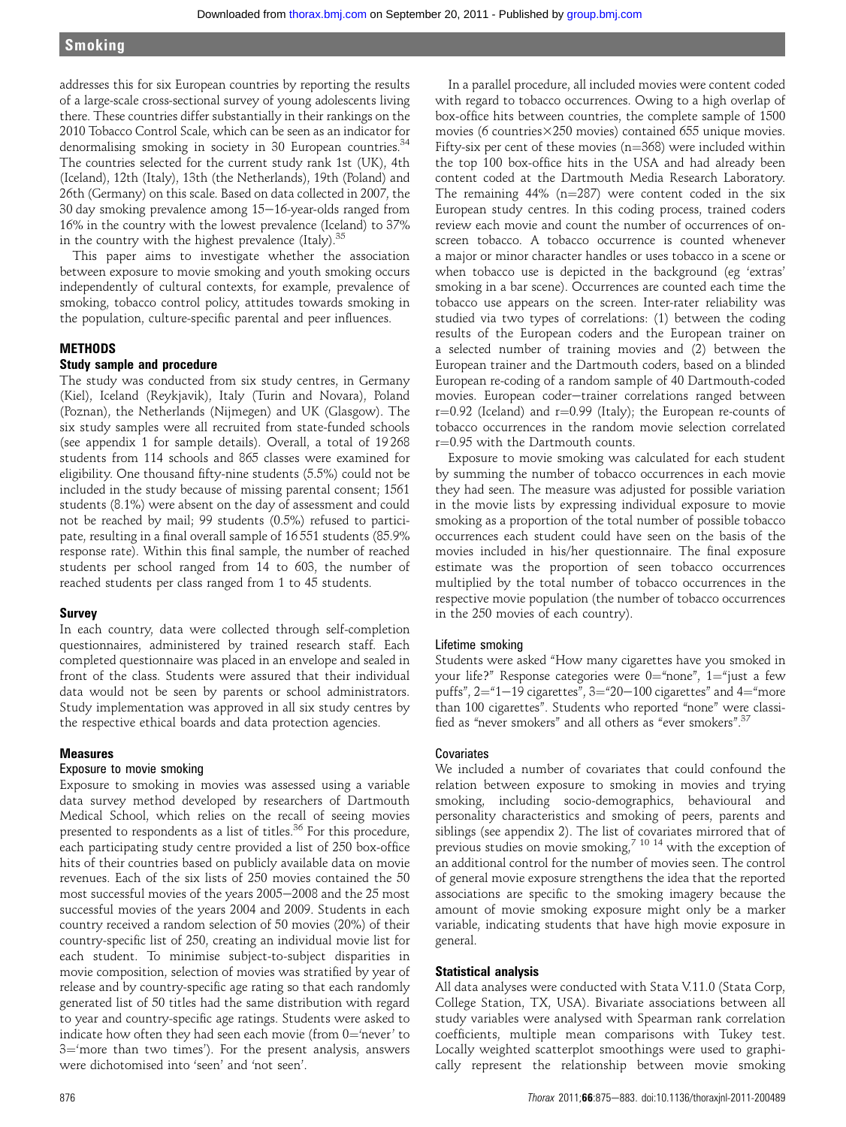## Smoking

addresses this for six European countries by reporting the results of a large-scale cross-sectional survey of young adolescents living there. These countries differ substantially in their rankings on the 2010 Tobacco Control Scale, which can be seen as an indicator for denormalising smoking in society in 30 European countries. $34$ The countries selected for the current study rank 1st (UK), 4th (Iceland), 12th (Italy), 13th (the Netherlands), 19th (Poland) and 26th (Germany) on this scale. Based on data collected in 2007, the  $30$  day smoking prevalence among  $15-16$ -year-olds ranged from 16% in the country with the lowest prevalence (Iceland) to 37% in the country with the highest prevalence (Italy). $35$ 

This paper aims to investigate whether the association between exposure to movie smoking and youth smoking occurs independently of cultural contexts, for example, prevalence of smoking, tobacco control policy, attitudes towards smoking in the population, culture-specific parental and peer influences.

#### **METHODS**

## Study sample and procedure

The study was conducted from six study centres, in Germany (Kiel), Iceland (Reykjavik), Italy (Turin and Novara), Poland (Poznan), the Netherlands (Nijmegen) and UK (Glasgow). The six study samples were all recruited from state-funded schools (see appendix 1 for sample details). Overall, a total of 19 268 students from 114 schools and 865 classes were examined for eligibility. One thousand fifty-nine students (5.5%) could not be included in the study because of missing parental consent; 1561 students (8.1%) were absent on the day of assessment and could not be reached by mail; 99 students (0.5%) refused to participate, resulting in a final overall sample of 16 551 students (85.9% response rate). Within this final sample, the number of reached students per school ranged from 14 to 603, the number of reached students per class ranged from 1 to 45 students.

#### Survey

In each country, data were collected through self-completion questionnaires, administered by trained research staff. Each completed questionnaire was placed in an envelope and sealed in front of the class. Students were assured that their individual data would not be seen by parents or school administrators. Study implementation was approved in all six study centres by the respective ethical boards and data protection agencies.

#### Measures

#### Exposure to movie smoking

Exposure to smoking in movies was assessed using a variable data survey method developed by researchers of Dartmouth Medical School, which relies on the recall of seeing movies presented to respondents as a list of titles.<sup>36</sup> For this procedure, each participating study centre provided a list of 250 box-office hits of their countries based on publicly available data on movie revenues. Each of the six lists of 250 movies contained the 50 most successful movies of the years 2005-2008 and the 25 most successful movies of the years 2004 and 2009. Students in each country received a random selection of 50 movies (20%) of their country-specific list of 250, creating an individual movie list for each student. To minimise subject-to-subject disparities in movie composition, selection of movies was stratified by year of release and by country-specific age rating so that each randomly generated list of 50 titles had the same distribution with regard to year and country-specific age ratings. Students were asked to indicate how often they had seen each movie (from  $0=$ 'never' to  $3$ ='more than two times'). For the present analysis, answers were dichotomised into 'seen' and 'not seen'.

In a parallel procedure, all included movies were content coded with regard to tobacco occurrences. Owing to a high overlap of box-office hits between countries, the complete sample of 1500 movies (6 countries $\times$ 250 movies) contained 655 unique movies. Fifty-six per cent of these movies ( $n=368$ ) were included within the top 100 box-office hits in the USA and had already been content coded at the Dartmouth Media Research Laboratory. The remaining  $44\%$  (n=287) were content coded in the six European study centres. In this coding process, trained coders review each movie and count the number of occurrences of onscreen tobacco. A tobacco occurrence is counted whenever a major or minor character handles or uses tobacco in a scene or when tobacco use is depicted in the background (eg 'extras' smoking in a bar scene). Occurrences are counted each time the tobacco use appears on the screen. Inter-rater reliability was studied via two types of correlations: (1) between the coding results of the European coders and the European trainer on a selected number of training movies and (2) between the European trainer and the Dartmouth coders, based on a blinded European re-coding of a random sample of 40 Dartmouth-coded movies. European coder-trainer correlations ranged between  $r=0.92$  (Iceland) and  $r=0.99$  (Italy); the European re-counts of tobacco occurrences in the random movie selection correlated  $r=0.95$  with the Dartmouth counts.

Exposure to movie smoking was calculated for each student by summing the number of tobacco occurrences in each movie they had seen. The measure was adjusted for possible variation in the movie lists by expressing individual exposure to movie smoking as a proportion of the total number of possible tobacco occurrences each student could have seen on the basis of the movies included in his/her questionnaire. The final exposure estimate was the proportion of seen tobacco occurrences multiplied by the total number of tobacco occurrences in the respective movie population (the number of tobacco occurrences in the 250 movies of each country).

#### Lifetime smoking

Students were asked "How many cigarettes have you smoked in your life?" Response categories were  $0=$ "none",  $1=$ "just a few puffs",  $2 = 1 - 19$  cigarettes",  $3 = 20 - 100$  cigarettes" and  $4 = 4$  more than 100 cigarettes". Students who reported "none" were classified as "never smokers" and all others as "ever smokers".<sup>37</sup>

#### **Covariates**

We included a number of covariates that could confound the relation between exposure to smoking in movies and trying smoking, including socio-demographics, behavioural and personality characteristics and smoking of peers, parents and siblings (see appendix 2). The list of covariates mirrored that of previous studies on movie smoking,  $7^{10}$  <sup>14</sup> with the exception of an additional control for the number of movies seen. The control of general movie exposure strengthens the idea that the reported associations are specific to the smoking imagery because the amount of movie smoking exposure might only be a marker variable, indicating students that have high movie exposure in general.

#### Statistical analysis

All data analyses were conducted with Stata V.11.0 (Stata Corp, College Station, TX, USA). Bivariate associations between all study variables were analysed with Spearman rank correlation coefficients, multiple mean comparisons with Tukey test. Locally weighted scatterplot smoothings were used to graphically represent the relationship between movie smoking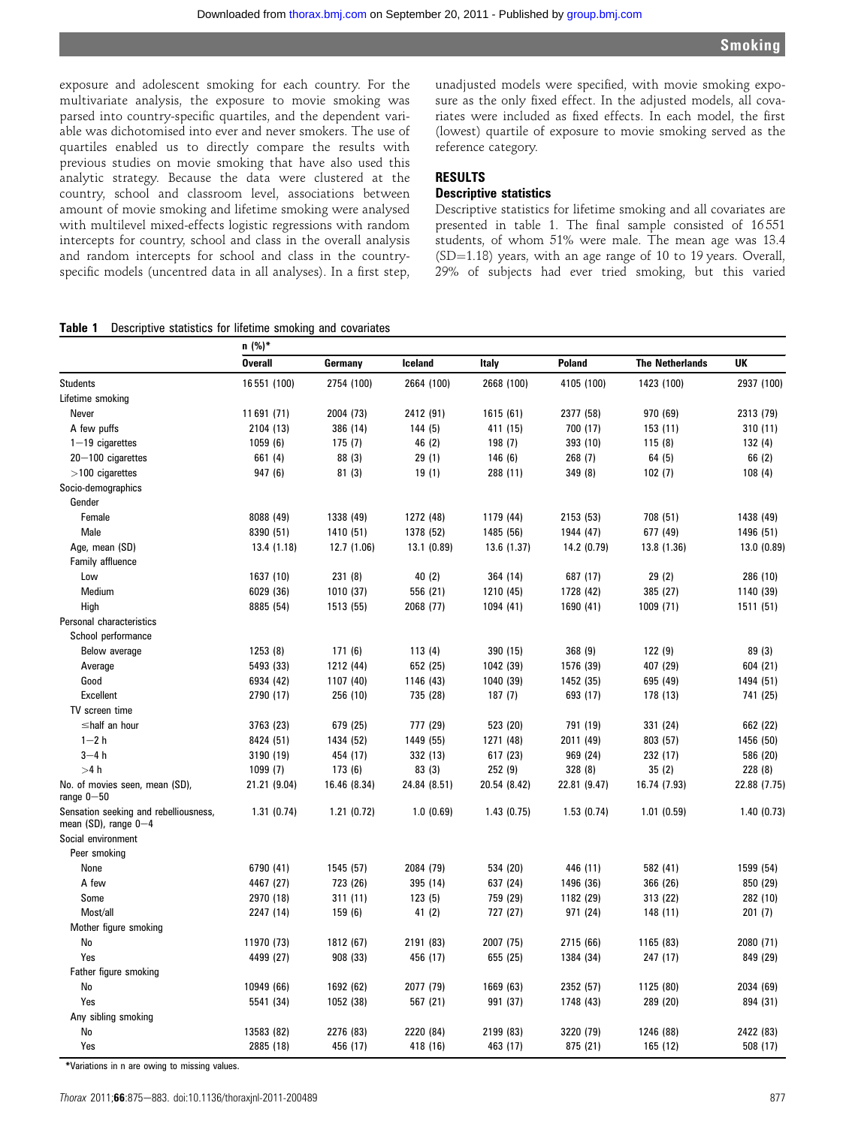exposure and adolescent smoking for each country. For the multivariate analysis, the exposure to movie smoking was parsed into country-specific quartiles, and the dependent variable was dichotomised into ever and never smokers. The use of quartiles enabled us to directly compare the results with previous studies on movie smoking that have also used this analytic strategy. Because the data were clustered at the country, school and classroom level, associations between amount of movie smoking and lifetime smoking were analysed with multilevel mixed-effects logistic regressions with random intercepts for country, school and class in the overall analysis and random intercepts for school and class in the countryspecific models (uncentred data in all analyses). In a first step, unadjusted models were specified, with movie smoking exposure as the only fixed effect. In the adjusted models, all covariates were included as fixed effects. In each model, the first (lowest) quartile of exposure to movie smoking served as the reference category.

## **RESULTS**

## Descriptive statistics

Descriptive statistics for lifetime smoking and all covariates are presented in table 1. The final sample consisted of 16 551 students, of whom 51% were male. The mean age was 13.4  $(SD=1.18)$  years, with an age range of 10 to 19 years. Overall, 29% of subjects had ever tried smoking, but this varied

Table 1 Descriptive statistics for lifetime smoking and covariates

|                                                                    | n (%)*         |              |              |              |               |                        |              |
|--------------------------------------------------------------------|----------------|--------------|--------------|--------------|---------------|------------------------|--------------|
|                                                                    | <b>Overall</b> | Germany      | Iceland      | Italy        | <b>Poland</b> | <b>The Netherlands</b> | UK           |
| <b>Students</b>                                                    | 16 551 (100)   | 2754 (100)   | 2664 (100)   | 2668 (100)   | 4105 (100)    | 1423 (100)             | 2937 (100)   |
| Lifetime smoking                                                   |                |              |              |              |               |                        |              |
| Never                                                              | 11 691 (71)    | 2004 (73)    | 2412 (91)    | 1615(61)     | 2377 (58)     | 970 (69)               | 2313 (79)    |
| A few puffs                                                        | 2104 (13)      | 386 (14)     | 144(5)       | 411 (15)     | 700 (17)      | 153 (11)               | 310 (11)     |
| $1-19$ cigarettes                                                  | 1059(6)        | 175(7)       | 46 (2)       | 198 (7)      | 393 (10)      | 115(8)                 | 132(4)       |
| $20 - 100$ cigarettes                                              | 661 (4)        | 88(3)        | 29(1)        | 146(6)       | 268(7)        | 64(5)                  | 66 (2)       |
| $>100$ cigarettes                                                  | 947 (6)        | 81(3)        | 19(1)        | 288 (11)     | 349 (8)       | 102(7)                 | 108(4)       |
| Socio-demographics                                                 |                |              |              |              |               |                        |              |
| Gender                                                             |                |              |              |              |               |                        |              |
| Female                                                             | 8088 (49)      | 1338 (49)    | 1272 (48)    | 1179 (44)    | 2153 (53)     | 708 (51)               | 1438 (49)    |
| Male                                                               | 8390 (51)      | 1410 (51)    | 1378 (52)    | 1485 (56)    | 1944 (47)     | 677 (49)               | 1496 (51)    |
| Age, mean (SD)                                                     | 13.4 (1.18)    | 12.7 (1.06)  | 13.1 (0.89)  | 13.6 (1.37)  | 14.2 (0.79)   | 13.8 (1.36)            | 13.0 (0.89)  |
| Family affluence                                                   |                |              |              |              |               |                        |              |
| Low                                                                | 1637 (10)      | 231 (8)      | 40 (2)       | 364 (14)     | 687 (17)      | 29(2)                  | 286 (10)     |
| Medium                                                             | 6029 (36)      | 1010 (37)    | 556 (21)     | 1210 (45)    | 1728 (42)     | 385 (27)               | 1140 (39)    |
| High                                                               | 8885 (54)      | 1513 (55)    | 2068 (77)    | 1094 (41)    | 1690 (41)     | 1009 (71)              | 1511 (51)    |
| Personal characteristics                                           |                |              |              |              |               |                        |              |
| School performance                                                 |                |              |              |              |               |                        |              |
| Below average                                                      | 1253(8)        | 171(6)       | 113(4)       | 390 (15)     | 368 (9)       | 122(9)                 | 89 (3)       |
| Average                                                            | 5493 (33)      | 1212 (44)    | 652 (25)     | 1042 (39)    | 1576 (39)     | 407 (29)               | 604 (21)     |
| Good                                                               | 6934 (42)      | 1107 (40)    | 1146 (43)    | 1040 (39)    | 1452 (35)     | 695 (49)               | 1494 (51)    |
| Excellent                                                          | 2790 (17)      | 256 (10)     | 735 (28)     | 187(7)       | 693 (17)      | 178 (13)               | 741 (25)     |
| TV screen time                                                     |                |              |              |              |               |                        |              |
| $\leq$ half an hour                                                | 3763 (23)      | 679 (25)     | 777 (29)     | 523 (20)     | 791 (19)      | 331 (24)               | 662 (22)     |
| $1 - 2h$                                                           | 8424 (51)      | 1434 (52)    | 1449 (55)    | 1271 (48)    | 2011 (49)     | 803 (57)               | 1456 (50)    |
| $3 - 4h$                                                           | 3190 (19)      | 454 (17)     | 332 (13)     | 617 (23)     | 969 (24)      | 232 (17)               | 586 (20)     |
| >4 h                                                               | 1099(7)        | 173(6)       | 83(3)        | 252(9)       | 328 (8)       | 35(2)                  | 228 (8)      |
| No. of movies seen, mean (SD),<br>range $0 - 50$                   | 21.21 (9.04)   | 16.46 (8.34) | 24.84 (8.51) | 20.54 (8.42) | 22.81 (9.47)  | 16.74 (7.93)           | 22.88 (7.75) |
| Sensation seeking and rebelliousness,<br>mean $(SD)$ , range $0-4$ | 1.31(0.74)     | 1.21(0.72)   | 1.0(0.69)    | 1.43(0.75)   | 1.53(0.74)    | 1.01(0.59)             | 1.40(0.73)   |
| Social environment                                                 |                |              |              |              |               |                        |              |
| Peer smoking                                                       |                |              |              |              |               |                        |              |
| None                                                               | 6790 (41)      | 1545 (57)    | 2084 (79)    | 534 (20)     | 446 (11)      | 582 (41)               | 1599 (54)    |
| A few                                                              | 4467 (27)      | 723 (26)     | 395 (14)     | 637 (24)     | 1496 (36)     | 366 (26)               | 850 (29)     |
| Some                                                               | 2970 (18)      | 311(11)      | 123(5)       | 759 (29)     | 1182 (29)     | 313 (22)               | 282 (10)     |
| Most/all                                                           | 2247 (14)      | 159(6)       | 41 (2)       | 727 (27)     | 971 (24)      | 148 (11)               | 201(7)       |
| Mother figure smoking                                              |                |              |              |              |               |                        |              |
| No                                                                 | 11970 (73)     | 1812 (67)    | 2191 (83)    | 2007 (75)    | 2715 (66)     | 1165 (83)              | 2080 (71)    |
| Yes                                                                | 4499 (27)      | 908 (33)     | 456 (17)     | 655 (25)     | 1384 (34)     | 247 (17)               | 849 (29)     |
| Father figure smoking                                              |                |              |              |              |               |                        |              |
| No                                                                 | 10949 (66)     | 1692 (62)    | 2077 (79)    | 1669 (63)    | 2352 (57)     | 1125 (80)              | 2034 (69)    |
| Yes                                                                | 5541 (34)      | 1052 (38)    | 567 (21)     | 991 (37)     | 1748 (43)     | 289 (20)               | 894 (31)     |
| Any sibling smoking                                                |                |              |              |              |               |                        |              |
| No                                                                 | 13583 (82)     | 2276 (83)    | 2220 (84)    | 2199 (83)    | 3220 (79)     | 1246 (88)              | 2422 (83)    |
| Yes                                                                | 2885 (18)      | 456 (17)     | 418 (16)     | 463 (17)     | 875 (21)      | 165 (12)               | 508 (17)     |

\*Variations in n are owing to missing values.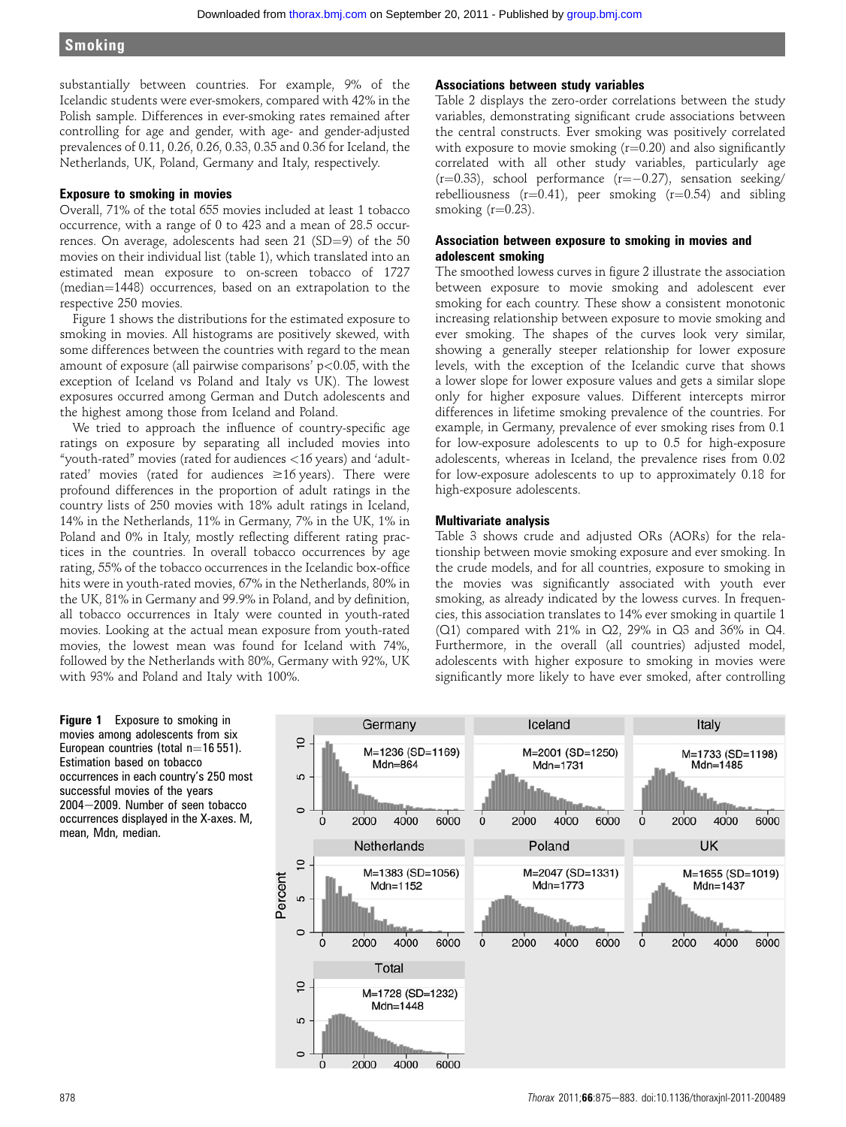substantially between countries. For example, 9% of the Icelandic students were ever-smokers, compared with 42% in the Polish sample. Differences in ever-smoking rates remained after controlling for age and gender, with age- and gender-adjusted prevalences of 0.11, 0.26, 0.26, 0.33, 0.35 and 0.36 for Iceland, the Netherlands, UK, Poland, Germany and Italy, respectively.

## Exposure to smoking in movies

Overall, 71% of the total 655 movies included at least 1 tobacco occurrence, with a range of 0 to 423 and a mean of 28.5 occurrences. On average, adolescents had seen 21 (SD=9) of the 50 movies on their individual list (table 1), which translated into an estimated mean exposure to on-screen tobacco of 1727 (median=1448) occurrences, based on an extrapolation to the respective 250 movies.

Figure 1 shows the distributions for the estimated exposure to smoking in movies. All histograms are positively skewed, with some differences between the countries with regard to the mean amount of exposure (all pairwise comparisons'  $p<0.05$ , with the exception of Iceland vs Poland and Italy vs UK). The lowest exposures occurred among German and Dutch adolescents and the highest among those from Iceland and Poland.

We tried to approach the influence of country-specific age ratings on exposure by separating all included movies into "youth-rated" movies (rated for audiences <16 years) and 'adultrated' movies (rated for audiences  $\geq 16$  years). There were profound differences in the proportion of adult ratings in the country lists of 250 movies with 18% adult ratings in Iceland, 14% in the Netherlands, 11% in Germany, 7% in the UK, 1% in Poland and 0% in Italy, mostly reflecting different rating practices in the countries. In overall tobacco occurrences by age rating, 55% of the tobacco occurrences in the Icelandic box-office hits were in youth-rated movies, 67% in the Netherlands, 80% in the UK, 81% in Germany and 99.9% in Poland, and by definition, all tobacco occurrences in Italy were counted in youth-rated movies. Looking at the actual mean exposure from youth-rated movies, the lowest mean was found for Iceland with 74%, followed by the Netherlands with 80%, Germany with 92%, UK with 93% and Poland and Italy with 100%.

#### Associations between study variables

Table 2 displays the zero-order correlations between the study variables, demonstrating significant crude associations between the central constructs. Ever smoking was positively correlated with exposure to movie smoking  $(r=0.20)$  and also significantly correlated with all other study variables, particularly age  $(r=0.33)$ , school performance  $(r=-0.27)$ , sensation seeking/ rebelliousness (r=0.41), peer smoking (r=0.54) and sibling smoking  $(r=0.23)$ .

## Association between exposure to smoking in movies and adolescent smoking

The smoothed lowess curves in figure 2 illustrate the association between exposure to movie smoking and adolescent ever smoking for each country. These show a consistent monotonic increasing relationship between exposure to movie smoking and ever smoking. The shapes of the curves look very similar, showing a generally steeper relationship for lower exposure levels, with the exception of the Icelandic curve that shows a lower slope for lower exposure values and gets a similar slope only for higher exposure values. Different intercepts mirror differences in lifetime smoking prevalence of the countries. For example, in Germany, prevalence of ever smoking rises from 0.1 for low-exposure adolescents to up to 0.5 for high-exposure adolescents, whereas in Iceland, the prevalence rises from 0.02 for low-exposure adolescents to up to approximately 0.18 for high-exposure adolescents.

#### Multivariate analysis

Table 3 shows crude and adjusted ORs (AORs) for the relationship between movie smoking exposure and ever smoking. In the crude models, and for all countries, exposure to smoking in the movies was significantly associated with youth ever smoking, as already indicated by the lowess curves. In frequencies, this association translates to 14% ever smoking in quartile 1 (Q1) compared with 21% in Q2, 29% in Q3 and 36% in Q4. Furthermore, in the overall (all countries) adjusted model, adolescents with higher exposure to smoking in movies were significantly more likely to have ever smoked, after controlling

Figure 1 Exposure to smoking in movies among adolescents from six European countries (total  $n=16551$ ). Estimation based on tobacco occurrences in each country's 250 most successful movies of the years 2004-2009. Number of seen tobacco occurrences displayed in the X-axes. M, mean, Mdn, median.

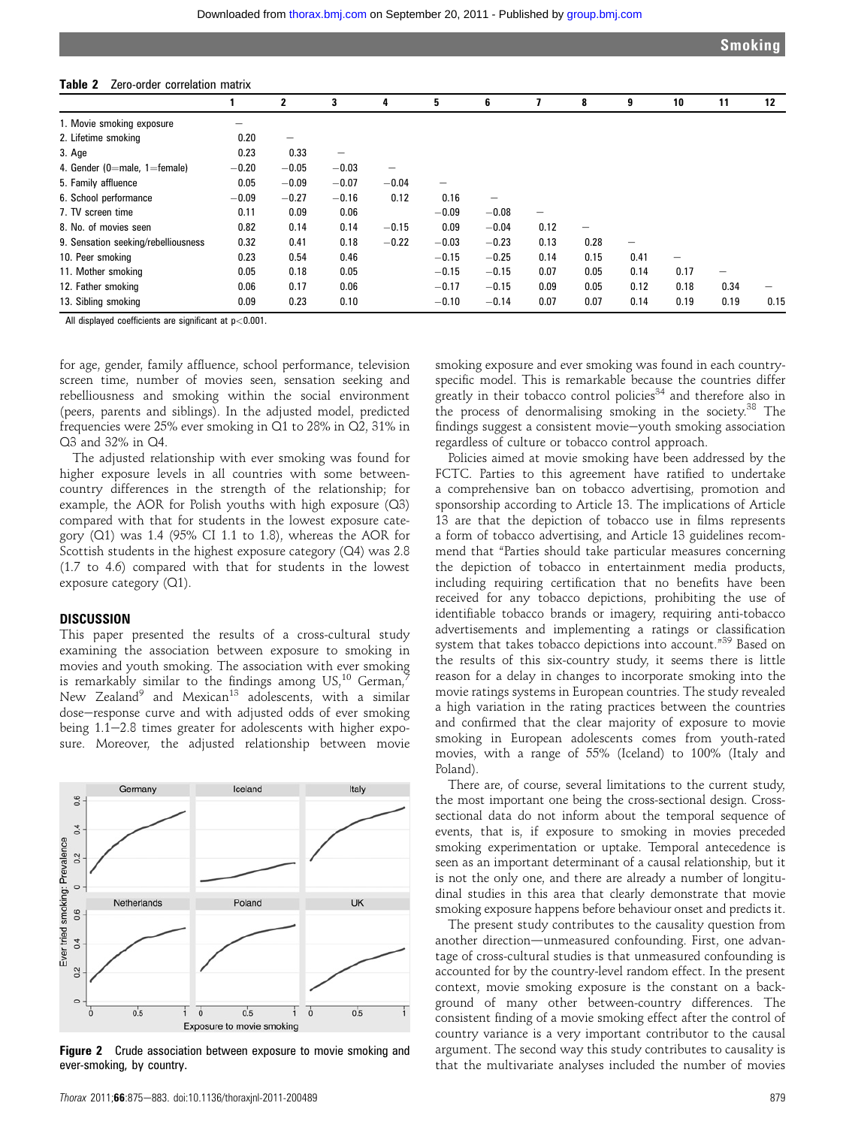|                                          |         |                   |                          |                                 |         |         |                 |      |      |                 |      | <b>Smoking</b> |
|------------------------------------------|---------|-------------------|--------------------------|---------------------------------|---------|---------|-----------------|------|------|-----------------|------|----------------|
| Zero-order correlation matrix<br>Table 2 |         |                   |                          |                                 |         |         |                 |      |      |                 |      |                |
|                                          |         | $\mathbf{z}$      | 3                        | 4                               | 5       | 6       | 7               | 8    | 9    | 10              | 11   | 12             |
| 1. Movie smoking exposure                | -       |                   |                          |                                 |         |         |                 |      |      |                 |      |                |
| 2. Lifetime smoking                      | 0.20    | $\qquad \qquad -$ |                          |                                 |         |         |                 |      |      |                 |      |                |
| 3. Age                                   | 0.23    | 0.33              | $\overline{\phantom{0}}$ |                                 |         |         |                 |      |      |                 |      |                |
| 4. Gender (0=male, 1=female)             | $-0.20$ | $-0.05$           | $-0.03$                  | $\hspace{0.1mm}-\hspace{0.1mm}$ |         |         |                 |      |      |                 |      |                |
| 5. Family affluence                      | 0.05    | $-0.09$           | $-0.07$                  | $-0.04$                         | -       |         |                 |      |      |                 |      |                |
| 6. School performance                    | $-0.09$ | $-0.27$           | $-0.16$                  | 0.12                            | 0.16    | -       |                 |      |      |                 |      |                |
| 7. TV screen time                        | 0.11    | 0.09              | 0.06                     |                                 | $-0.09$ | $-0.08$ | $\qquad \qquad$ |      |      |                 |      |                |
| 8. No. of movies seen                    | 0.82    | 0.14              | 0.14                     | $-0.15$                         | 0.09    | $-0.04$ | 0.12            | -    |      |                 |      |                |
| 9. Sensation seeking/rebelliousness      | 0.32    | 0.41              | 0.18                     | $-0.22$                         | $-0.03$ | $-0.23$ | 0.13            | 0.28 | -    |                 |      |                |
| 10. Peer smoking                         | 0.23    | 0.54              | 0.46                     |                                 | $-0.15$ | $-0.25$ | 0.14            | 0.15 | 0.41 | $\qquad \qquad$ |      |                |
| 11. Mother smoking                       | 0.05    | 0.18              | 0.05                     |                                 | $-0.15$ | $-0.15$ | 0.07            | 0.05 | 0.14 | 0.17            | -    |                |
| 12. Father smoking                       | 0.06    | 0.17              | 0.06                     |                                 | $-0.17$ | $-0.15$ | 0.09            | 0.05 | 0.12 | 0.18            | 0.34 |                |
| 13. Sibling smoking                      | 0.09    | 0.23              | 0.10                     |                                 | $-0.10$ | $-0.14$ | 0.07            | 0.07 | 0.14 | 0.19            | 0.19 | 0.15           |

All displayed coefficients are significant at  $p<0.001$ .

for age, gender, family affluence, school performance, television screen time, number of movies seen, sensation seeking and rebelliousness and smoking within the social environment (peers, parents and siblings). In the adjusted model, predicted frequencies were 25% ever smoking in Q1 to 28% in Q2, 31% in Q3 and 32% in Q4.

The adjusted relationship with ever smoking was found for higher exposure levels in all countries with some betweencountry differences in the strength of the relationship; for example, the AOR for Polish youths with high exposure (Q3) compared with that for students in the lowest exposure category (Q1) was 1.4 (95% CI 1.1 to 1.8), whereas the AOR for Scottish students in the highest exposure category (Q4) was 2.8 (1.7 to 4.6) compared with that for students in the lowest exposure category (Q1).

## **DISCUSSION**

This paper presented the results of a cross-cultural study examining the association between exposure to smoking in movies and youth smoking. The association with ever smoking is remarkably similar to the findings among  $US<sup>10</sup>$  German, New Zealand<sup>9</sup> and Mexican<sup>13</sup> adolescents, with a similar dose-response curve and with adjusted odds of ever smoking being  $1.1-2.8$  times greater for adolescents with higher exposure. Moreover, the adjusted relationship between movie



**Figure 2** Crude association between exposure to movie smoking and ever-smoking, by country.

smoking exposure and ever smoking was found in each countryspecific model. This is remarkable because the countries differ greatly in their tobacco control policies<sup>34</sup> and therefore also in the process of denormalising smoking in the society.<sup>38</sup> The findings suggest a consistent movie-youth smoking association regardless of culture or tobacco control approach.

Policies aimed at movie smoking have been addressed by the FCTC. Parties to this agreement have ratified to undertake a comprehensive ban on tobacco advertising, promotion and sponsorship according to Article 13. The implications of Article 13 are that the depiction of tobacco use in films represents a form of tobacco advertising, and Article 13 guidelines recommend that "Parties should take particular measures concerning the depiction of tobacco in entertainment media products, including requiring certification that no benefits have been received for any tobacco depictions, prohibiting the use of identifiable tobacco brands or imagery, requiring anti-tobacco advertisements and implementing a ratings or classification system that takes tobacco depictions into account."<sup>39</sup> Based on the results of this six-country study, it seems there is little reason for a delay in changes to incorporate smoking into the movie ratings systems in European countries. The study revealed a high variation in the rating practices between the countries and confirmed that the clear majority of exposure to movie smoking in European adolescents comes from youth-rated movies, with a range of 55% (Iceland) to 100% (Italy and Poland).

There are, of course, several limitations to the current study, the most important one being the cross-sectional design. Crosssectional data do not inform about the temporal sequence of events, that is, if exposure to smoking in movies preceded smoking experimentation or uptake. Temporal antecedence is seen as an important determinant of a causal relationship, but it is not the only one, and there are already a number of longitudinal studies in this area that clearly demonstrate that movie smoking exposure happens before behaviour onset and predicts it.

The present study contributes to the causality question from another direction—unmeasured confounding. First, one advantage of cross-cultural studies is that unmeasured confounding is accounted for by the country-level random effect. In the present context, movie smoking exposure is the constant on a background of many other between-country differences. The consistent finding of a movie smoking effect after the control of country variance is a very important contributor to the causal argument. The second way this study contributes to causality is that the multivariate analyses included the number of movies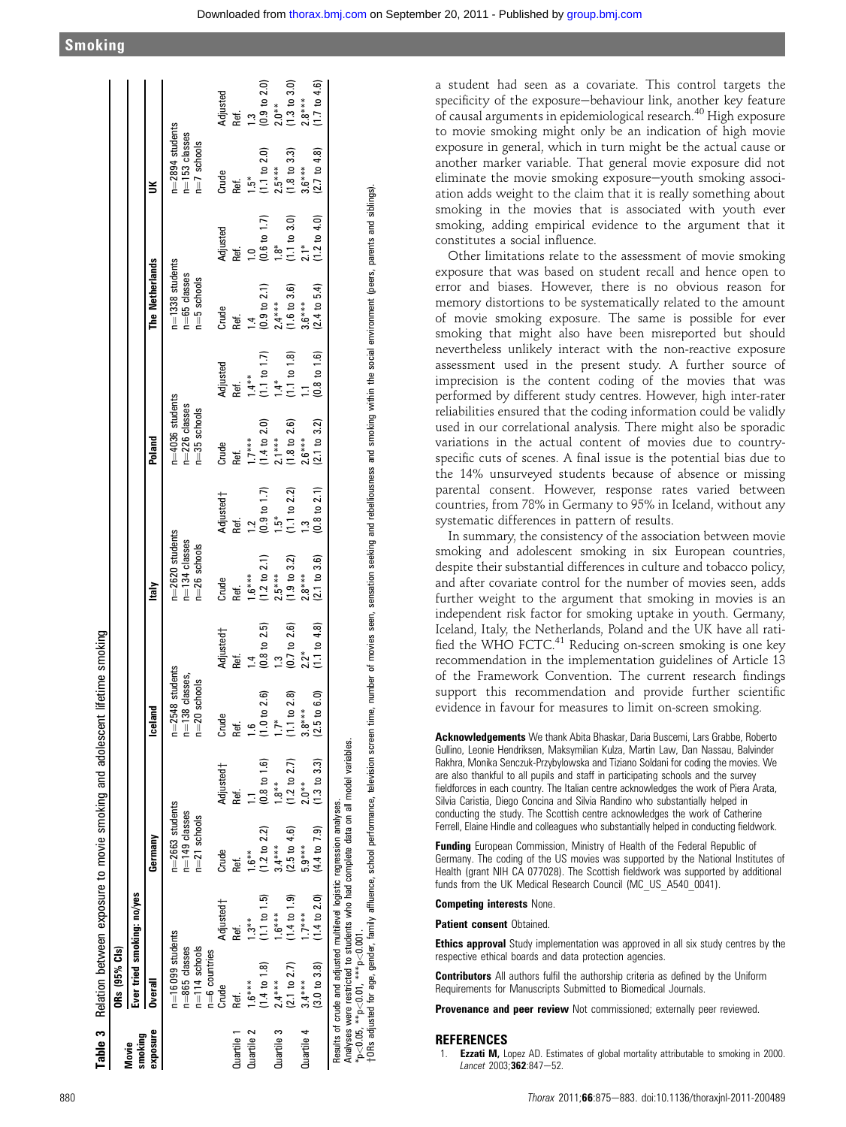| Ever tried smoking: no/yes               |                                                                        |                                                                                          |                                                                                    |                                                          |                         |                                      |                         |                                                          |                         |                                                       |                                                                                                                                                                                                                                                                                   |
|------------------------------------------|------------------------------------------------------------------------|------------------------------------------------------------------------------------------|------------------------------------------------------------------------------------|----------------------------------------------------------|-------------------------|--------------------------------------|-------------------------|----------------------------------------------------------|-------------------------|-------------------------------------------------------|-----------------------------------------------------------------------------------------------------------------------------------------------------------------------------------------------------------------------------------------------------------------------------------|
| Germany                                  |                                                                        | Iceland                                                                                  |                                                                                    | Italv                                                    |                         | Poland                               |                         | The Netherlands                                          |                         |                                                       |                                                                                                                                                                                                                                                                                   |
| $n = 2663$ students<br>$n = 149$ classes |                                                                        | $n = 2548$ students<br>38 classes,<br>$n = 20$ schools<br>$\bar{l}$                      |                                                                                    | $n=2620$ students<br>$n=134$ classes<br>$n = 26$ schools |                         | n=4036 students<br>$n = 226$ classes |                         | $n = 1338$ students<br>$n = 65$ classes<br>$n=5$ schools |                         | n=2894 students<br>$n = 153$ classes<br>$n=7$ schools |                                                                                                                                                                                                                                                                                   |
| Crude                                    | Adjusted †                                                             | <b>Crude</b>                                                                             |                                                                                    | Crude                                                    |                         | Crude                                |                         | Crude                                                    |                         | Crude                                                 | Adjusted                                                                                                                                                                                                                                                                          |
| Ref.                                     | Ref.                                                                   | Ref.                                                                                     | Ref.                                                                               | Ref.                                                     | Ref.                    | Ref.                                 | Ref.                    | Ref.                                                     | Ref.                    | Ref.                                                  | Ref.                                                                                                                                                                                                                                                                              |
| **6.ا                                    |                                                                        | ڢ                                                                                        |                                                                                    | $1.6***$                                                 |                         | $1.7***$                             | $-4**$                  | $\overline{4}$                                           | $\overline{a}$          | $\ddot{5}$                                            |                                                                                                                                                                                                                                                                                   |
| $1.2$ to $2.2$                           | $0.8 \text{ to } 1.6$                                                  | to $2.6$<br>$\overline{1}$ .                                                             | $(0.8 \text{ to } 2.5)$                                                            | $(1.2 \text{ to } 2.1)$                                  | $(0.9 \text{ to } 1.7)$ | $(1.4 \text{ to } 2.0)$              | (1.1 to 1.7)            | (0.9 to 2.1)                                             | (0.6 t 0 1.7)           | $1.1$ to $2.0$ )                                      | $(0.9 \text{ to } 2.0)$                                                                                                                                                                                                                                                           |
| $3.4***$                                 | $8**$                                                                  | $\ddot{ }$                                                                               |                                                                                    | $2.5***$                                                 | ្រុំ                    | $2.1***$                             | $14*$                   | $2.4***$                                                 | $1.8*$                  |                                                       | $2.0***$                                                                                                                                                                                                                                                                          |
| $(2.5 \text{ to } 4.6)$                  | $1.2$ to $2.7$ )                                                       | $1.1$ to $2.8$                                                                           | (0.7 to 2.6)                                                                       | $(1.9 \text{ to } 3.2)$                                  | (1.1 to 2.2)            | $(1.8 \text{ to } 2.6)$              | (1.1 to 1.8)            | (1.6 to 3.6)                                             | (1.1 to 3.0)            |                                                       | $(1.3 \text{ to } 3.0)$                                                                                                                                                                                                                                                           |
| $5.9***$                                 | $2.0***$                                                               | $3.8***$                                                                                 | $2.2*$                                                                             | $2.8***$                                                 |                         | $2.6***$                             |                         | $3.6***$                                                 | $2.1*$                  |                                                       | $2.8***$                                                                                                                                                                                                                                                                          |
| $(4.4 \text{ to } 7.9)$                  | $(1.3 \text{ to } 3.3)$                                                | to $6.0$<br>(2.5)                                                                        | (1.1 to 4.8)                                                                       | $(2.1 \text{ to } 3.6)$                                  | $(0.8 \text{ to } 2.1)$ | $(2.1 \text{ to } 3.2)$              | $(0.8 \text{ to } 1.6)$ | (2.4 t0 5.4)                                             | $(1.2 \text{ to } 4.0)$ | $(2.7 \text{ to } 4.8)$                               | $(1.7 \text{ to } 4.6)$                                                                                                                                                                                                                                                           |
|                                          |                                                                        |                                                                                          |                                                                                    |                                                          |                         |                                      |                         |                                                          |                         |                                                       |                                                                                                                                                                                                                                                                                   |
| Adjusted <sup>+</sup>                    | $(1.4 \text{ to } 2.0)$<br>$1.1$ to $1.5$ )<br>$(1.4 \text{ to } 1.9)$ | Results of crude and adjusted multilevel logistic regression analyses.<br>$n=21$ schools | Analyses were restricted to students who had complete data on all model variables. | Adjusted †                                               |                         | Adjusted †                           |                         | Adjusted<br>$n = 35$ schools                             |                         | Adjusted                                              | $(1.8 \text{ to } 3.3)$<br>$2.5***$<br>$3.6***$<br>†ORs adjusted for age, gender, family affluence, school performance, television screen time, number of movies seen, sensation seeking and rebelliousness and smoking within the social environment (peers, parents and sibling |

Relation between exposure to movie smoking and adolescent lifetime smoking Relation between exposure to movie smoking and adolescent lifetime smoking Table 3

Smoking

a student had seen as a covariate. This control targets the specificity of the exposure-behaviour link, another key feature of causal arguments in epidemiological research.<sup>40</sup> High exposure to movie smoking might only be an indication of high movie exposure in general, which in turn might be the actual cause or another marker variable. That general movie exposure did not eliminate the movie smoking exposure-youth smoking association adds weight to the claim that it is really something about smoking in the movies that is associated with youth ever smoking, adding empirical evidence to the argument that it constitutes a social influence.

Other limitations relate to the assessment of movie smoking exposure that was based on student recall and hence open to error and biases. However, there is no obvious reason for memory distortions to be systematically related to the amount of movie smoking exposure. The same is possible for ever smoking that might also have been misreported but should nevertheless unlikely interact with the non-reactive exposure assessment used in the present study. A further source of imprecision is the content coding of the movies that was performed by different study centres. However, high inter-rater reliabilities ensured that the coding information could be validly used in our correlational analysis. There might also be sporadic variations in the actual content of movies due to countryspecific cuts of scenes. A final issue is the potential bias due to the 14% unsurveyed students because of absence or missing parental consent. However, response rates varied between countries, from 78% in Germany to 95% in Iceland, without any systematic differences in pattern of results.

In summary, the consistency of the association between movie smoking and adolescent smoking in six European countries, despite their substantial differences in culture and tobacco policy, and after covariate control for the number of movies seen, adds further weight to the argument that smoking in movies is an independent risk factor for smoking uptake in youth. Germany, Iceland, Italy, the Netherlands, Poland and the UK have all ratified the WHO FCTC.<sup>41</sup> Reducing on-screen smoking is one key recommendation in the implementation guidelines of Article 13 of the Framework Convention. The current research findings support this recommendation and provide further scientific evidence in favour for measures to limit on-screen smoking.

Acknowledgements We thank Abita Bhaskar, Daria Buscemi, Lars Grabbe, Roberto Gullino, Leonie Hendriksen, Maksymilian Kulza, Martin Law, Dan Nassau, Balvinder Rakhra, Monika Senczuk-Przybylowska and Tiziano Soldani for coding the movies. We are also thankful to all pupils and staff in participating schools and the survey fieldforces in each country. The Italian centre acknowledges the work of Piera Arata, Silvia Caristia, Diego Concina and Silvia Randino who substantially helped in conducting the study. The Scottish centre acknowledges the work of Catherine Ferrell, Elaine Hindle and colleagues who substantially helped in conducting fieldwork.

Funding European Commission, Ministry of Health of the Federal Republic of Germany. The coding of the US movies was supported by the National Institutes of Health (grant NIH CA 077028). The Scottish fieldwork was supported by additional funds from the UK Medical Research Council (MC\_US\_A540\_0041).

Competing interests None.

Patient consent Obtained.

**Ethics approval** Study implementation was approved in all six study centres by the respective ethical boards and data protection agencies.

Contributors All authors fulfil the authorship criteria as defined by the Uniform Requirements for Manuscripts Submitted to Biomedical Journals.

**Provenance and peer review** Not commissioned; externally peer reviewed.

## **REFERENCES**

1. Ezzati M, Lopez AD. Estimates of global mortality attributable to smoking in 2000. Lancet  $2003:362:847-52$ .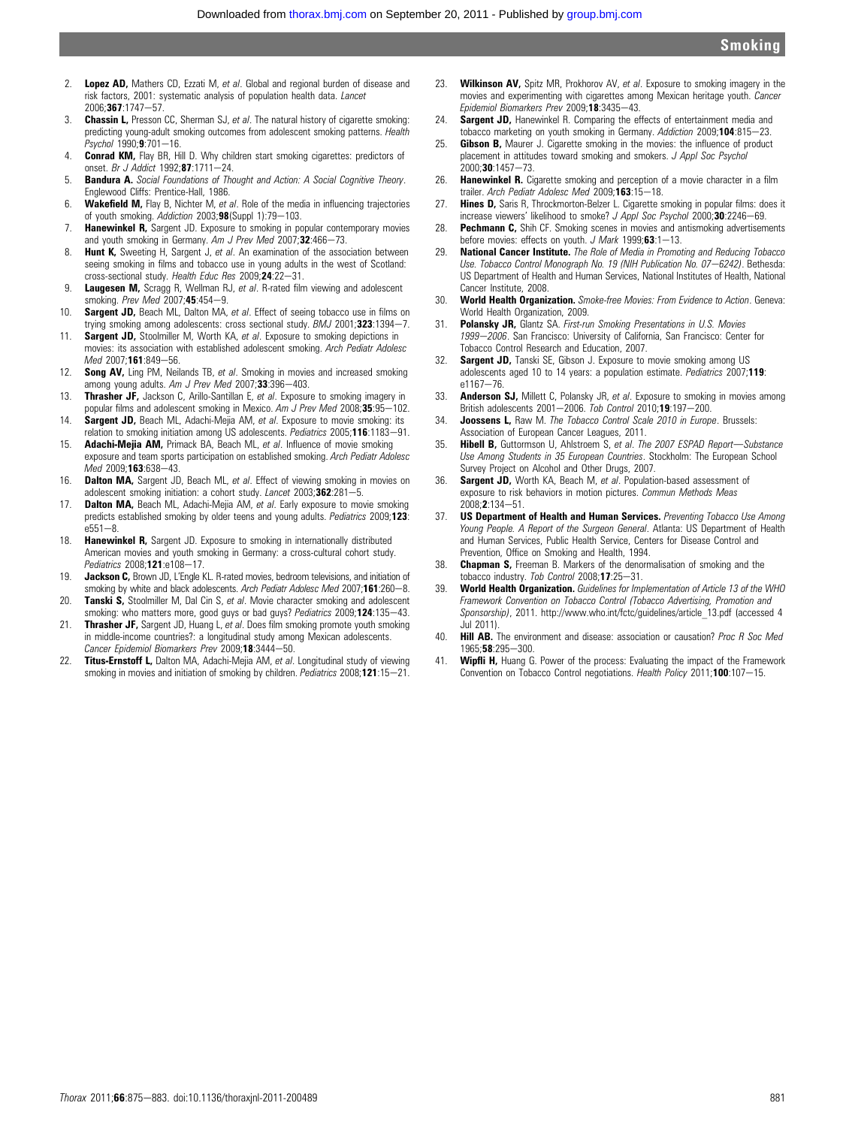- 2. **Lopez AD,** Mathers CD, Ezzati M, et al. Global and regional burden of disease and risk factors, 2001: systematic analysis of population health data. Lancet 2006;367:1747-57.
- 3. **Chassin L,** Presson CC, Sherman SJ, et al. The natural history of cigarette smoking: predicting young-adult smoking outcomes from adolescent smoking patterns. Health Psychol 1990;9:701-16.
- 4. **Conrad KM,** Flay BR, Hill D. Why children start smoking cigarettes: predictors of onset. Br J Addict 1992;87:1711-24.
- 5. **Bandura A.** Social Foundations of Thought and Action: A Social Cognitive Theory. Englewood Cliffs: Prentice-Hall, 1986.
- 6. Wakefield M, Flay B, Nichter M, et al. Role of the media in influencing traiectories of youth smoking. Addiction 2003;98(Suppl 1):79-103.
- 7. Hanewinkel R, Sargent JD. Exposure to smoking in popular contemporary movies and youth smoking in Germany. Am J Prev Med  $2007;32.466-73$ .
- 8. **Hunt K.** Sweeting H. Sargent J. et al. An examination of the association between seeing smoking in films and tobacco use in young adults in the west of Scotland: cross-sectional study. Health Educ Res 2009;24:22-31.
- 9. Laugesen M, Scragg R, Wellman RJ, et al. R-rated film viewing and adolescent smoking. Prev Med 2007;45:454-9.
- 10. **Sargent JD,** Beach ML, Dalton MA, et al. Effect of seeing tobacco use in films on trying smoking among adolescents: cross sectional study.  $BMJ$  2001;323:1394-7.
- 11. Sargent JD, Stoolmiller M, Worth KA, et al. Exposure to smoking depictions in movies: its association with established adolescent smoking. Arch Pediatr Adolesc Med 2007:161:849-56.
- 12. **Song AV, Ling PM, Neilands TB, et al. Smoking in movies and increased smoking** among young adults. Am J Prev Med 2007;33:396-403.
- 13. Thrasher JF, Jackson C, Arillo-Santillan E, et al. Exposure to smoking imagery in popular films and adolescent smoking in Mexico.  $Am$  J Prev Med 2008;35:95-102.
- 14. Sargent JD, Beach ML, Adachi-Mejia AM, et al. Exposure to movie smoking: its relation to smoking initiation among US adolescents. Pediatrics 2005;116:1183-91.
- 15. **Adachi-Mejia AM,** Primack BA, Beach ML, et al. Influence of movie smoking exposure and team sports participation on established smoking. Arch Pediatr Adolesc  $Med$  2009;163:638-43.
- 16. Dalton MA, Sargent JD, Beach ML, et al. Effect of viewing smoking in movies on adolescent smoking initiation: a cohort study. *Lancet*  $2003$ : $362$ : $281 - 5$ .
- 17. Dalton MA, Beach ML, Adachi-Mejia AM, et al. Early exposure to movie smoking predicts established smoking by older teens and young adults. Pediatrics 2009;123:  $e551 - 8$
- 18. **Hanewinkel R,** Sargent JD. Exposure to smoking in internationally distributed American movies and youth smoking in Germany: a cross-cultural cohort study. Pediatrics 2008;121:e108-17
- 19. Jackson C, Brown JD, L'Engle KL. R-rated movies, bedroom televisions, and initiation of smoking by white and black adolescents. Arch Pediatr Adolesc Med 2007;161:260-8.
- 20. Tanski S, Stoolmiller M, Dal Cin S, et al. Movie character smoking and adolescent smoking: who matters more, good guys or bad guys? Pediatrics 2009;124:135-43.
- 21. Thrasher JF, Sargent JD, Huang L, et al. Does film smoking promote youth smoking in middle-income countries?: a longitudinal study among Mexican adolescents. Cancer Epidemiol Biomarkers Prev 2009;18:3444-50.
- 22. Titus-Ernstoff L, Dalton MA, Adachi-Mejia AM, et al. Longitudinal study of viewing smoking in movies and initiation of smoking by children. Pediatrics  $2008; 121:15-21$ .
- 23. **Wilkinson AV,** Spitz MR, Prokhorov AV, et al. Exposure to smoking imagery in the movies and experimenting with cigarettes among Mexican heritage youth. Cancer Epidemiol Biomarkers Prev 2009;18:3435-43.
- 24. Sargent JD, Hanewinkel R. Comparing the effects of entertainment media and tobacco marketing on youth smoking in Germany. Addiction 2009;104:815-23.
- 25. Gibson B, Maurer J. Cigarette smoking in the movies: the influence of product placement in attitudes toward smoking and smokers. J Appl Soc Psychol  $2000:30:1457 - 73$
- 26. **Hanewinkel R.** Cigarette smoking and perception of a movie character in a film trailer. Arch Pediatr Adolesc Med 2009;163:15-18.
- 27. **Hines D,** Saris R, Throckmorton-Belzer L. Cigarette smoking in popular films: does it increase viewers' likelihood to smoke? J Appl Soc Psychol 2000;30:2246-69.
- 28. Pechmann C, Shih CF. Smoking scenes in movies and antismoking advertisements before movies: effects on youth. J Mark 1999; $63:1-13$ .
- **National Cancer Institute.** The Role of Media in Promoting and Reducing Tobacco Use. Tobacco Control Monograph No. 19 (NIH Publication No. 07-6242). Bethesda: US Department of Health and Human Services, National Institutes of Health, National Cancer Institute, 2008.
- 30. World Health Organization. Smoke-free Movies: From Evidence to Action. Geneva: World Health Organization, 2009.
- 31. Polansky JR, Glantz SA. First-run Smoking Presentations in U.S. Movies 1999-2006. San Francisco: University of California, San Francisco: Center for Tobacco Control Research and Education, 2007.
- 32. Sargent JD, Tanski SE, Gibson J. Exposure to movie smoking among US adolescents aged 10 to 14 years: a population estimate. Pediatrics 2007;119:  $e1167 - 76$
- 33. Anderson SJ, Millett C, Polansky JR, et al. Exposure to smoking in movies among British adolescents  $2001-2006$ . Tob Control  $2010$ ; 19:197-200.
- 34. Joossens L, Raw M. The Tobacco Control Scale 2010 in Europe. Brussels: Association of European Cancer Leagues, 2011.
- 35. **Hibell B,** Guttormson U, Ahlstroem S, et al. The 2007 ESPAD Report-Substance Use Among Students in 35 European Countries. Stockholm: The European School Survey Project on Alcohol and Other Drugs, 2007.
- 36. Sargent JD, Worth KA, Beach M, et al. Population-based assessment of exposure to risk behaviors in motion pictures. Commun Methods Meas 2008;2:134-51
- 37. **US Department of Health and Human Services.** Preventing Tobacco Use Among Young People. A Report of the Surgeon General. Atlanta: US Department of Health and Human Services, Public Health Service, Centers for Disease Control and Prevention, Office on Smoking and Health, 1994.
- 38. **Chapman S,** Freeman B. Markers of the denormalisation of smoking and the tobacco industry. Tob Control 2008;17:25-31.
- 39. World Health Organization. Guidelines for Implementation of Article 13 of the WHO Framework Convention on Tobacco Control (Tobacco Advertising, Promotion and Sponsorship), 2011. http://www.who.int/fctc/guidelines/article\_13.pdf (accessed 4 Jul 2011).
- 40. **Hill AB.** The environment and disease: association or causation? Proc R Soc Med 1965;58:295-300.
- 41. Wipfli H, Huang G. Power of the process: Evaluating the impact of the Framework Convention on Tobacco Control negotiations. Health Policy 2011;100:107-15.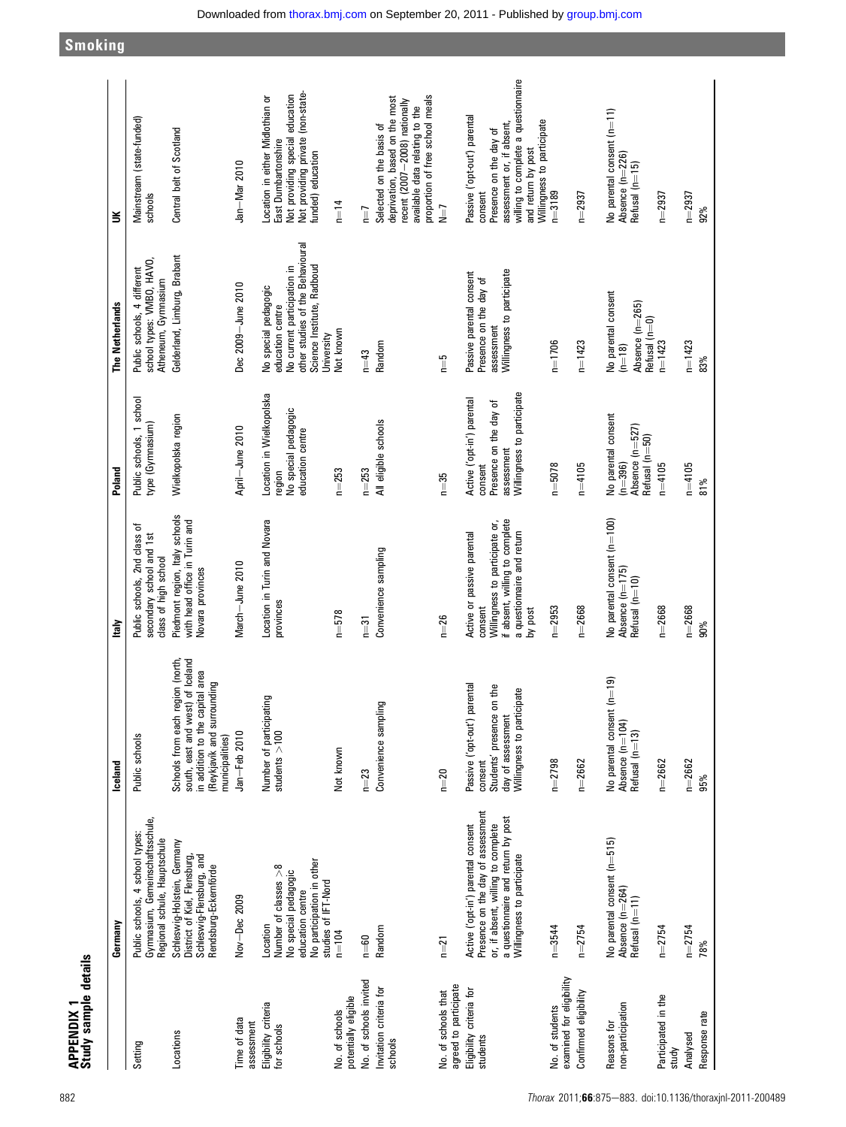|                                              | Germany                                                                                                                                                                           | Iceland                                                                                                                                                 | haly                                                                                                                                               | Poland                                                                                                      | The Netherlands                                                                                                                                         | š                                                                                                                                                                                         |
|----------------------------------------------|-----------------------------------------------------------------------------------------------------------------------------------------------------------------------------------|---------------------------------------------------------------------------------------------------------------------------------------------------------|----------------------------------------------------------------------------------------------------------------------------------------------------|-------------------------------------------------------------------------------------------------------------|---------------------------------------------------------------------------------------------------------------------------------------------------------|-------------------------------------------------------------------------------------------------------------------------------------------------------------------------------------------|
| Setting                                      | Gymnasium, Gemeinschaftsschule,<br>Public schools, 4 school types:<br>Regional schule, Hauptschule                                                                                | Public schools                                                                                                                                          | Public schools, 2nd class of<br>secondary school and 1st<br>class of high school                                                                   | Public schools, 1 school<br>type (Gymnasium)                                                                | school types: VMBO, HAVO,<br>Public schools, 4 different<br>Atheneum, Gymnasium                                                                         | Mainstream (state-funded)<br>schools                                                                                                                                                      |
| Locations                                    | Schleswig-Holstein, Germany<br>District of Kiel, Flensburg,<br>Schleswig-Flensburg, and<br>Rendsburg-Eckernförde                                                                  | Schools from each region (north,<br>south, east and west) of Iceland<br>in addition to the capital area<br>Reykjavík and surrounding<br>municipalities) | Piedmont region, Italy schools<br>with head office in Turin and<br>Novara provinces                                                                | Wielkopolska region                                                                                         | Gelderland, Limburg, Brabant                                                                                                                            | Central belt of Scotland                                                                                                                                                                  |
| Time of data<br>assessment                   | Nov-Dec 2009                                                                                                                                                                      | $Jan-Feb 2010$                                                                                                                                          | March-June 2010                                                                                                                                    | April-June 2010                                                                                             | Dec 2009-June 2010                                                                                                                                      | Jan-Mar 2010                                                                                                                                                                              |
| Eligibility criteria<br>for schools          | No participation in other<br>Number of classes $>8$<br>No special pedagogic<br>studies of IFT-Nord<br>education centre<br>Location                                                | Number of participating<br>students $>100$                                                                                                              | Location in Turin and Novara<br>provinces                                                                                                          | Location in Wielkopolska<br>No special pedagogic<br>education centre<br>region                              | other studies of the Behavioural<br>Science Institute, Radboud<br>No current participation in<br>No special pedagogic<br>education centre<br>University | Not providing private (non-state-<br>Not providing special education<br>ocation in either Midlothian or<br>East Dumbartonshire<br>funded) education                                       |
| potentially eligible<br>No. of schools       | $n = 104$                                                                                                                                                                         | Not known                                                                                                                                               | $n = 578$                                                                                                                                          | $n = 253$                                                                                                   | Not known                                                                                                                                               | $n=14$                                                                                                                                                                                    |
| No. of schools invited                       | $n=60$                                                                                                                                                                            | $n=23$                                                                                                                                                  | $n=31$                                                                                                                                             | $n = 253$                                                                                                   | $n=43$                                                                                                                                                  | $n=7$                                                                                                                                                                                     |
| Invitation criteria for<br>schools           | Random                                                                                                                                                                            | ō<br>Convenience samplin                                                                                                                                | Convenience sampling                                                                                                                               | All eligible schools                                                                                        | Random                                                                                                                                                  | proportion of free school meals<br>deprivation, based on the most<br>recent (2007-2008) nationally<br>available data relating to the<br>Selected on the basis of                          |
| agreed to participate<br>No. of schools that | $n=21$                                                                                                                                                                            | $n=20$                                                                                                                                                  | $n = 26$                                                                                                                                           | $n=35$                                                                                                      | n≕5                                                                                                                                                     | ī=∆                                                                                                                                                                                       |
| Eligibility criteria for<br>students         | Presence on the day of assessment<br>a questionnaire and return by post<br>Active ('opt-in') parental consent<br>or, if absent, willing to complete<br>Willingness to participate | Students' presence on the<br>Passive ('opt-out') parental<br>Willingness to participate<br>day of assessment<br>consent                                 | if absent, willing to complete<br>Willingness to participate or,<br>a questionnaire and return<br>Active or passive parental<br>consent<br>by post | Willingness to participate<br>Active ('opt-in') parental<br>Presence on the day of<br>assessment<br>consent | Willingness to participate<br>Passive parental consent<br>Presence on the day of<br>assessment                                                          | willing to complete a questionnaire<br>Passive ('opt-out') parental<br>Willingness to participate<br>assessment or, if absent,<br>Presence on the day of<br>and return by post<br>consent |
| examined for eligibility<br>No. of students  | $n = 3544$                                                                                                                                                                        | $n = 2798$                                                                                                                                              | $n = 2953$                                                                                                                                         | $n = 5078$                                                                                                  | $n = 1706$                                                                                                                                              | $n = 3189$                                                                                                                                                                                |
| Confirmed eligibility                        | $n = 2754$                                                                                                                                                                        | $n = 2662$                                                                                                                                              | $n = 2668$                                                                                                                                         | $n = 4105$                                                                                                  | $n = 1423$                                                                                                                                              | $n = 2937$                                                                                                                                                                                |
| non-participation<br>Reasons for             | No parental consent (n=515)<br>Absence (n=264)<br>Refusal (n=11)                                                                                                                  | $(n=19)$<br>No parental consent<br>Absence (n=104)<br>Refusal (n=13)                                                                                    | No parental consent (n=100)<br>Absence (n=175)<br>Refusal (n=10)                                                                                   | No parental consent<br>Absence (n=527)<br>Refusal (n=50)<br>$(n=396)$                                       | No parental consent<br>Absence (n=265)<br>Refusal (n=0)<br>$(n = 18)$                                                                                   | No parental consent (n=11)<br>Absence (n=226)<br>Refusal (n=15)                                                                                                                           |
| Participated in the<br>study                 | $n = 2754$                                                                                                                                                                        | $n = 2662$                                                                                                                                              | $n = 2668$                                                                                                                                         | $n = 4105$                                                                                                  | $n = 1423$                                                                                                                                              | $n = 2937$                                                                                                                                                                                |
| Analysed                                     | $n = 2754$                                                                                                                                                                        | $n = 2662$                                                                                                                                              | $n = 2668$                                                                                                                                         | $n = 4105$                                                                                                  | $n = 1423$                                                                                                                                              | $n = 2937$                                                                                                                                                                                |
| Response rate                                | 78%                                                                                                                                                                               | 95%                                                                                                                                                     | 90%                                                                                                                                                | 81%                                                                                                         | 83%                                                                                                                                                     | 92%                                                                                                                                                                                       |

APPENDIX 1 Study sample details

APPENDIX 1<br>Study sample details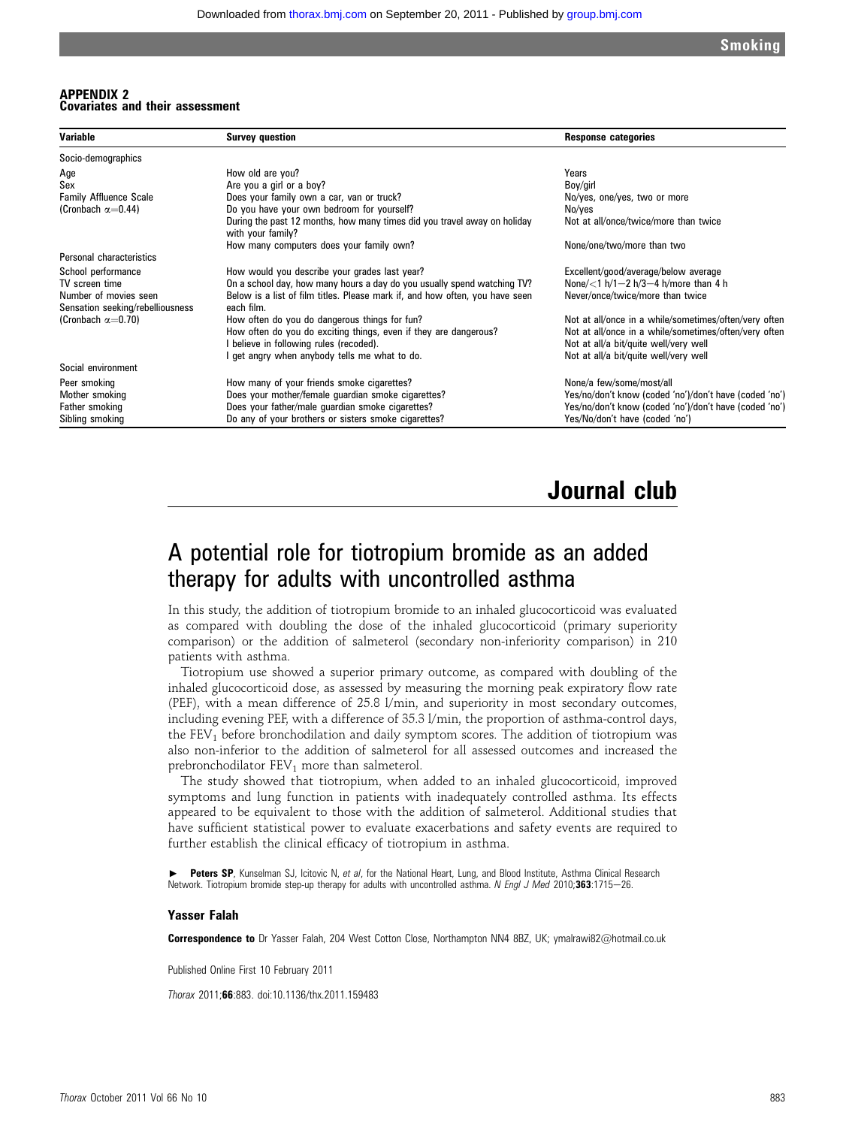#### APPENDIX 2 Covariates and their assessment

| <b>Variable</b>                                           | <b>Survey question</b>                                                                        | <b>Response categories</b>                             |
|-----------------------------------------------------------|-----------------------------------------------------------------------------------------------|--------------------------------------------------------|
| Socio-demographics                                        |                                                                                               |                                                        |
| Age                                                       | How old are you?                                                                              | Years                                                  |
| Sex                                                       | Are you a girl or a boy?                                                                      | Boy/girl                                               |
| <b>Family Affluence Scale</b>                             | Does your family own a car, van or truck?                                                     | No/yes, one/yes, two or more                           |
| (Cronbach $\alpha = 0.44$ )                               | Do you have your own bedroom for yourself?                                                    | No/yes                                                 |
|                                                           | During the past 12 months, how many times did you travel away on holiday<br>with your family? | Not at all/once/twice/more than twice                  |
|                                                           | How many computers does your family own?                                                      | None/one/two/more than two                             |
| Personal characteristics                                  |                                                                                               |                                                        |
| School performance                                        | How would you describe your grades last year?                                                 | Excellent/good/average/below average                   |
| TV screen time                                            | On a school day, how many hours a day do you usually spend watching TV?                       | None/ $<$ 1 h/1-2 h/3-4 h/more than 4 h                |
| Number of movies seen<br>Sensation seeking/rebelliousness | Below is a list of film titles. Please mark if, and how often, you have seen<br>each film.    | Never/once/twice/more than twice                       |
| (Cronbach $\alpha = 0.70$ )                               | How often do you do dangerous things for fun?                                                 | Not at all/once in a while/sometimes/often/very often  |
|                                                           | How often do you do exciting things, even if they are dangerous?                              | Not at all/once in a while/sometimes/often/very often  |
|                                                           | I believe in following rules (recoded).                                                       | Not at all/a bit/quite well/very well                  |
|                                                           | get angry when anybody tells me what to do.                                                   | Not at all/a bit/quite well/very well                  |
| Social environment                                        |                                                                                               |                                                        |
| Peer smoking                                              | How many of your friends smoke cigarettes?                                                    | None/a few/some/most/all                               |
| Mother smoking                                            | Does your mother/female quardian smoke cigarettes?                                            | Yes/no/don't know (coded 'no')/don't have (coded 'no') |
| Father smoking                                            | Does your father/male quardian smoke cigarettes?                                              | Yes/no/don't know (coded 'no')/don't have (coded 'no') |
| Sibling smoking                                           | Do any of your brothers or sisters smoke cigarettes?                                          | Yes/No/don't have (coded 'no')                         |

## Journal club

## A potential role for tiotropium bromide as an added therapy for adults with uncontrolled asthma

In this study, the addition of tiotropium bromide to an inhaled glucocorticoid was evaluated as compared with doubling the dose of the inhaled glucocorticoid (primary superiority comparison) or the addition of salmeterol (secondary non-inferiority comparison) in 210 patients with asthma.

Tiotropium use showed a superior primary outcome, as compared with doubling of the inhaled glucocorticoid dose, as assessed by measuring the morning peak expiratory flow rate (PEF), with a mean difference of 25.8 l/min, and superiority in most secondary outcomes, including evening PEF, with a difference of 35.3 l/min, the proportion of asthma-control days, the  $FEV<sub>1</sub>$  before bronchodilation and daily symptom scores. The addition of tiotropium was also non-inferior to the addition of salmeterol for all assessed outcomes and increased the prebronchodilator  $FEV<sub>1</sub>$  more than salmeterol.

The study showed that tiotropium, when added to an inhaled glucocorticoid, improved symptoms and lung function in patients with inadequately controlled asthma. Its effects appeared to be equivalent to those with the addition of salmeterol. Additional studies that have sufficient statistical power to evaluate exacerbations and safety events are required to further establish the clinical efficacy of tiotropium in asthma.

Peters SP, Kunselman SJ, Icitovic N, et al, for the National Heart, Lung, and Blood Institute, Asthma Clinical Research Network. Tiotropium bromide step-up therapy for adults with uncontrolled asthma. N Engl J Med 2010;363:1715-26.

#### Yasser Falah

Correspondence to Dr Yasser Falah, 204 West Cotton Close, Northampton NN4 8BZ, UK; ymalrawi82@hotmail.co.uk

Published Online First 10 February 2011

Thorax 2011;66:883. doi:10.1136/thx.2011.159483